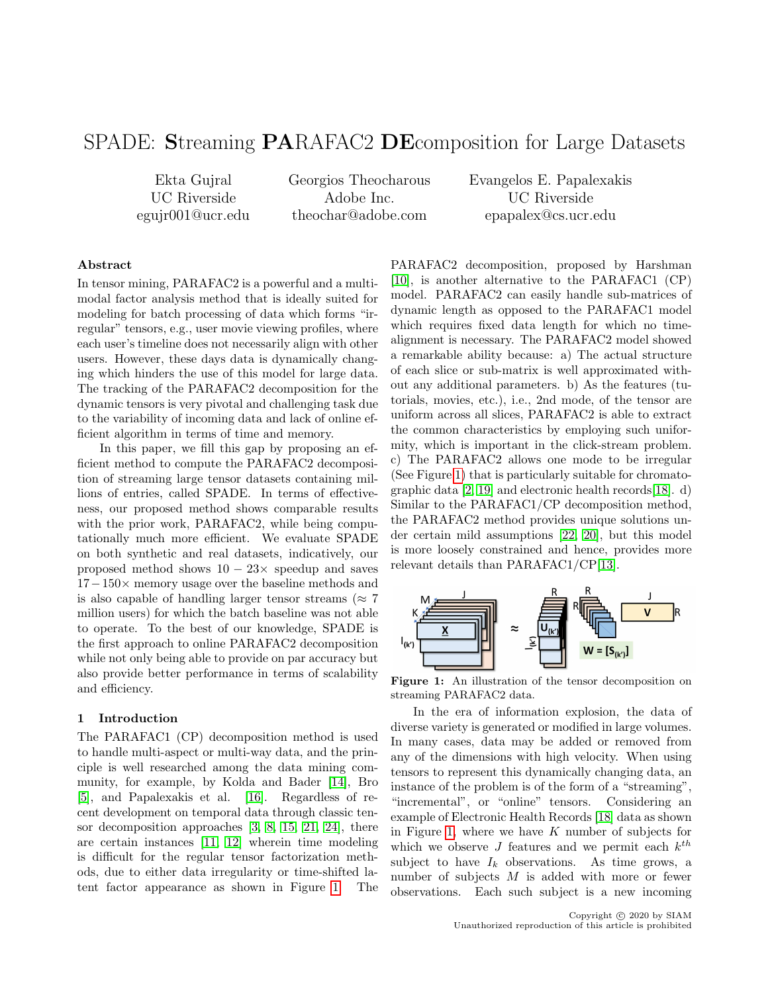# SPADE: Streaming PARAFAC2 DEcomposition for Large Datasets

Ekta Gujral UC Riverside egujr001@ucr.edu Georgios Theocharous Adobe Inc. theochar@adobe.com

Evangelos E. Papalexakis UC Riverside epapalex@cs.ucr.edu

## Abstract

In tensor mining, PARAFAC2 is a powerful and a multimodal factor analysis method that is ideally suited for modeling for batch processing of data which forms "irregular" tensors, e.g., user movie viewing profiles, where each user's timeline does not necessarily align with other users. However, these days data is dynamically changing which hinders the use of this model for large data. The tracking of the PARAFAC2 decomposition for the dynamic tensors is very pivotal and challenging task due to the variability of incoming data and lack of online efficient algorithm in terms of time and memory.

In this paper, we fill this gap by proposing an efficient method to compute the PARAFAC2 decomposition of streaming large tensor datasets containing millions of entries, called SPADE. In terms of effectiveness, our proposed method shows comparable results with the prior work, PARAFAC2, while being computationally much more efficient. We evaluate SPADE on both synthetic and real datasets, indicatively, our proposed method shows  $10 - 23 \times$  speedup and saves 17−150× memory usage over the baseline methods and is also capable of handling larger tensor streams ( $\approx 7$ ) million users) for which the batch baseline was not able to operate. To the best of our knowledge, SPADE is the first approach to online PARAFAC2 decomposition while not only being able to provide on par accuracy but also provide better performance in terms of scalability and efficiency.

### 1 Introduction

The PARAFAC1 (CP) decomposition method is used to handle multi-aspect or multi-way data, and the principle is well researched among the data mining community, for example, by Kolda and Bader [\[14\]](#page-8-0), Bro [\[5\]](#page-8-1), and Papalexakis et al. [\[16\]](#page-8-2). Regardless of recent development on temporal data through classic tensor decomposition approaches [\[3,](#page-8-3) [8,](#page-8-4) [15,](#page-8-5) [21,](#page-8-6) [24\]](#page-8-7), there are certain instances [\[11,](#page-8-8) [12\]](#page-8-9) wherein time modeling is difficult for the regular tensor factorization methods, due to either data irregularity or time-shifted latent factor appearance as shown in Figure [1.](#page-0-0) The

PARAFAC2 decomposition, proposed by Harshman [\[10\]](#page-8-10), is another alternative to the PARAFAC1 (CP) model. PARAFAC2 can easily handle sub-matrices of dynamic length as opposed to the PARAFAC1 model which requires fixed data length for which no timealignment is necessary. The PARAFAC2 model showed a remarkable ability because: a) The actual structure of each slice or sub-matrix is well approximated without any additional parameters. b) As the features (tutorials, movies, etc.), i.e., 2nd mode, of the tensor are uniform across all slices, PARAFAC2 is able to extract the common characteristics by employing such uniformity, which is important in the click-stream problem. c) The PARAFAC2 allows one mode to be irregular (See Figure [1\)](#page-0-0) that is particularly suitable for chromatographic data [\[2,](#page-8-11) [19\]](#page-8-12) and electronic health records[\[18\]](#page-8-13). d) Similar to the PARAFAC1/CP decomposition method, the PARAFAC2 method provides unique solutions under certain mild assumptions [\[22,](#page-8-14) [20\]](#page-8-15), but this model is more loosely constrained and hence, provides more relevant details than PARAFAC1/CP[\[13\]](#page-8-16).

<span id="page-0-0"></span>

Figure 1: An illustration of the tensor decomposition on streaming PARAFAC2 data.

In the era of information explosion, the data of diverse variety is generated or modified in large volumes. In many cases, data may be added or removed from any of the dimensions with high velocity. When using tensors to represent this dynamically changing data, an instance of the problem is of the form of a "streaming", "incremental", or "online" tensors. Considering an example of Electronic Health Records [\[18\]](#page-8-13) data as shown in Figure [1,](#page-0-0) where we have  $K$  number of subjects for which we observe  $J$  features and we permit each  $k^{th}$ subject to have  $I_k$  observations. As time grows, a number of subjects  $M$  is added with more or fewer observations. Each such subject is a new incoming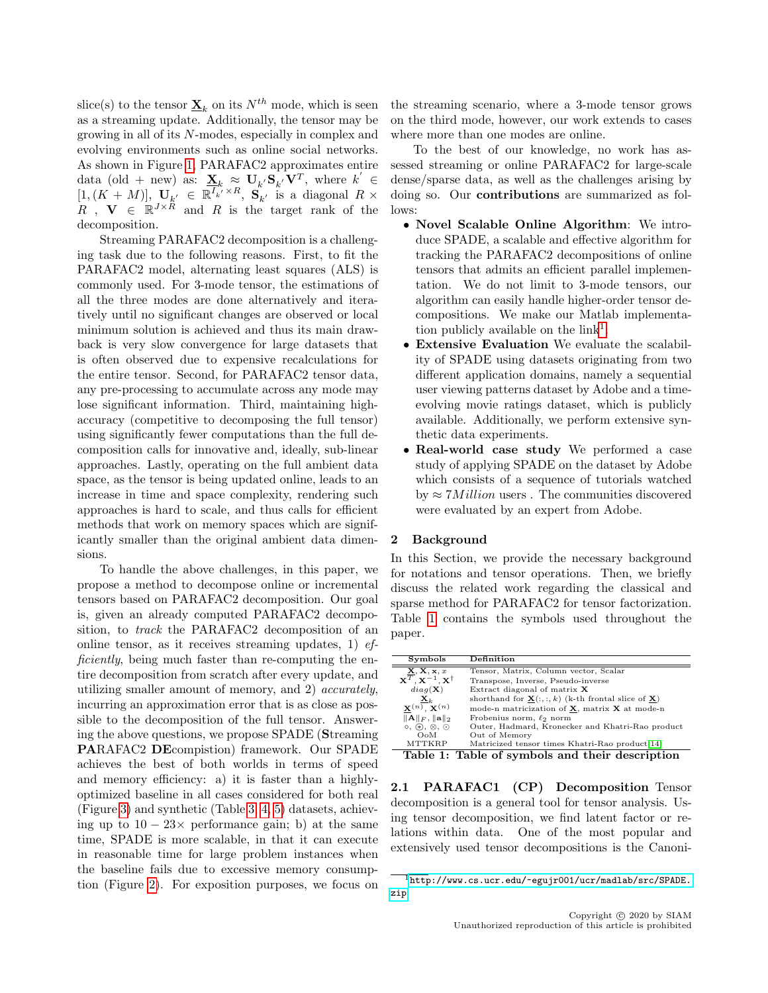slice(s) to the tensor  $\underline{\mathbf{X}}_k$  on its  $N^{th}$  mode, which is seen as a streaming update. Additionally, the tensor may be growing in all of its N-modes, especially in complex and evolving environments such as online social networks. As shown in Figure [1,](#page-0-0) PARAFAC2 approximates entire data (old + new) as:  $\underline{\mathbf{X}}_k \approx \mathbf{U}_{k'} \mathbf{S}_{k'} \mathbf{V}^T$ , where  $k' \in$  $[1,(K+M)], \mathbf{U}_{k'} \in \mathbb{R}^{I_{k'}^{\times} \times R}, \mathbf{S}_{k'}^{\times}$  is a diagonal  $R \times$  $R$ ,  $\mathbf{V} \in \mathbb{R}^{J \times \mathbb{R}}$  and R is the target rank of the decomposition.

Streaming PARAFAC2 decomposition is a challenging task due to the following reasons. First, to fit the PARAFAC2 model, alternating least squares (ALS) is commonly used. For 3-mode tensor, the estimations of all the three modes are done alternatively and iteratively until no significant changes are observed or local minimum solution is achieved and thus its main drawback is very slow convergence for large datasets that is often observed due to expensive recalculations for the entire tensor. Second, for PARAFAC2 tensor data, any pre-processing to accumulate across any mode may lose significant information. Third, maintaining highaccuracy (competitive to decomposing the full tensor) using significantly fewer computations than the full decomposition calls for innovative and, ideally, sub-linear approaches. Lastly, operating on the full ambient data space, as the tensor is being updated online, leads to an increase in time and space complexity, rendering such approaches is hard to scale, and thus calls for efficient methods that work on memory spaces which are significantly smaller than the original ambient data dimensions.

To handle the above challenges, in this paper, we propose a method to decompose online or incremental tensors based on PARAFAC2 decomposition. Our goal is, given an already computed PARAFAC2 decomposition, to track the PARAFAC2 decomposition of an online tensor, as it receives streaming updates, 1)  $ef$ ficiently, being much faster than re-computing the entire decomposition from scratch after every update, and utilizing smaller amount of memory, and 2) accurately, incurring an approximation error that is as close as possible to the decomposition of the full tensor. Answering the above questions, we propose SPADE (Streaming PARAFAC2 DEcompistion) framework. Our SPADE achieves the best of both worlds in terms of speed and memory efficiency: a) it is faster than a highlyoptimized baseline in all cases considered for both real (Figure [3\)](#page-7-0) and synthetic (Table [3,](#page-5-0) [4,](#page-5-1) [5\)](#page-5-2) datasets, achieving up to  $10 - 23 \times$  performance gain; b) at the same time, SPADE is more scalable, in that it can execute in reasonable time for large problem instances when the baseline fails due to excessive memory consumption (Figure [2\)](#page-6-0). For exposition purposes, we focus on the streaming scenario, where a 3-mode tensor grows on the third mode, however, our work extends to cases where more than one modes are online.

To the best of our knowledge, no work has assessed streaming or online PARAFAC2 for large-scale dense/sparse data, as well as the challenges arising by doing so. Our contributions are summarized as follows:

- Novel Scalable Online Algorithm: We introduce SPADE, a scalable and effective algorithm for tracking the PARAFAC2 decompositions of online tensors that admits an efficient parallel implementation. We do not limit to 3-mode tensors, our algorithm can easily handle higher-order tensor decompositions. We make our Matlab implementation publicly available on the  $link<sup>1</sup>$  $link<sup>1</sup>$  $link<sup>1</sup>$ .
- Extensive Evaluation We evaluate the scalability of SPADE using datasets originating from two different application domains, namely a sequential user viewing patterns dataset by Adobe and a timeevolving movie ratings dataset, which is publicly available. Additionally, we perform extensive synthetic data experiments.
- Real-world case study We performed a case study of applying SPADE on the dataset by Adobe which consists of a sequence of tutorials watched by  $\approx 7$ *Million* users. The communities discovered were evaluated by an expert from Adobe.

## 2 Background

In this Section, we provide the necessary background for notations and tensor operations. Then, we briefly discuss the related work regarding the classical and sparse method for PARAFAC2 for tensor factorization. Table [1](#page-1-1) contains the symbols used throughout the paper.

<span id="page-1-1"></span>

| Symbols                                             | <b>Definition</b>                                                                                                                                                                    |
|-----------------------------------------------------|--------------------------------------------------------------------------------------------------------------------------------------------------------------------------------------|
| $\overline{\mathbf{X}, \mathbf{X}, \mathbf{x}, x}$  | Tensor, Matrix, Column vector, Scalar                                                                                                                                                |
| $\mathbf{X}^T, \mathbf{X}^{-1}, \mathbf{X}^\dagger$ | Transpose, Inverse, Pseudo-inverse                                                                                                                                                   |
| $diag(\mathbf{X})$                                  | Extract diagonal of matrix $X$                                                                                                                                                       |
| $\underline{\mathbf{X}}_k$                          | shorthand for $\underline{\mathbf{X}}(:, :, k)$ (k-th frontal slice of $\underline{\mathbf{X}}$ )                                                                                    |
| $\mathbf{X}^{(n)}$ , $\mathbf{X}^{(n)}$             | mode-n matricization of X, matrix X at mode-n                                                                                                                                        |
| $  A  _F,   a  _2$                                  | Frobenius norm, $\ell_2$ norm                                                                                                                                                        |
| $\circ$ , $\circledast$ , $\otimes$ , $\odot$       | Outer, Hadmard, Kronecker and Khatri-Rao product                                                                                                                                     |
| $_{\text{DoM}}$                                     | Out of Memory                                                                                                                                                                        |
| <b>MTTKRP</b>                                       | Matricized tensor times Khatri-Rao product 14                                                                                                                                        |
| $T = 1.1 - 1.1$                                     | $T\Gamma$ , 1, 1, $\Gamma$ , $\Gamma$ , $\Gamma$ , $\Gamma$ , $\Gamma$ , $\Gamma$ , $\Gamma$ , $\Gamma$ , $\Gamma$ , $\Gamma$ , $\Gamma$ , $\Gamma$ , $\Gamma$ , $\Gamma$ , $\Gamma$ |

Table 1: Table of symbols and their description

2.1 PARAFAC1 (CP) Decomposition Tensor decomposition is a general tool for tensor analysis. Using tensor decomposition, we find latent factor or relations within data. One of the most popular and extensively used tensor decompositions is the Canoni-

<span id="page-1-0"></span><sup>1</sup>[http://www.cs.ucr.edu/~egujr001/ucr/madlab/src/SPADE.](http://www.cs.ucr.edu/~egujr001/ucr/madlab/src/SPADE.zip) [zip](http://www.cs.ucr.edu/~egujr001/ucr/madlab/src/SPADE.zip)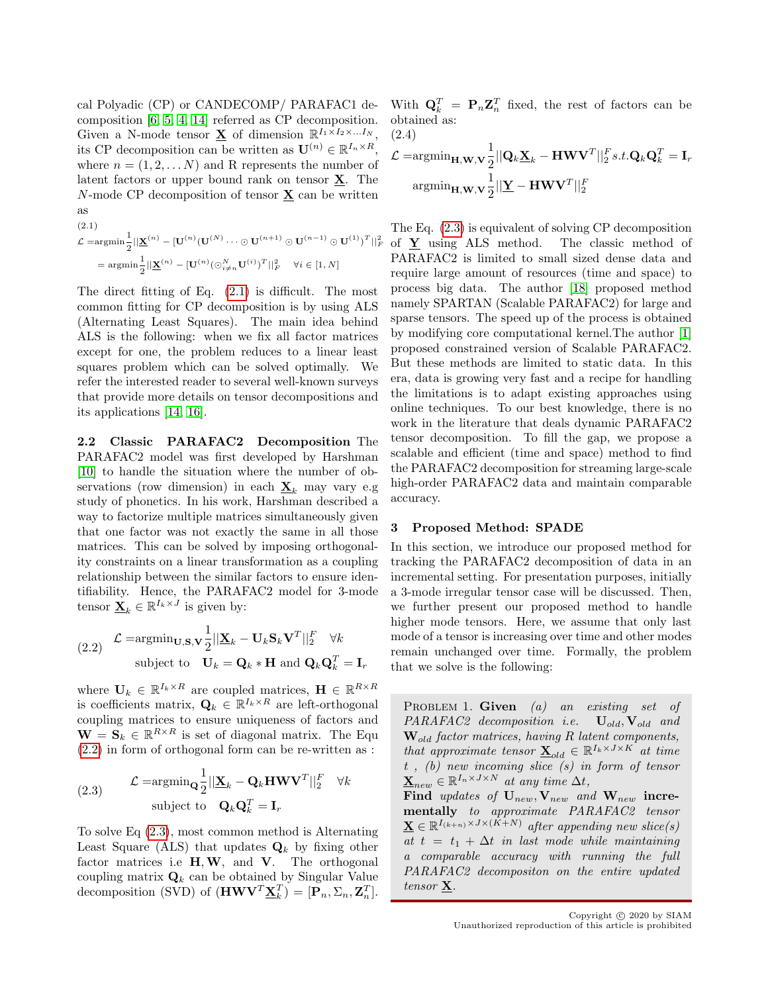cal Polyadic (CP) or CANDECOMP/ PARAFAC1 decomposition [\[6,](#page-8-17) [5,](#page-8-1) [4,](#page-8-18) [14\]](#page-8-0) referred as CP decomposition. Given a N-mode tensor  $\underline{\mathbf{X}}$  of dimension  $\mathbb{R}^{I_1 \times I_2 \times \ldots I_N}$ , its CP decomposition can be written as  $\mathbf{U}^{(n)} \in \mathbb{R}^{I_n \times R}$ , where  $n = (1, 2, \dots N)$  and R represents the number of latent factors or upper bound rank on tensor  $\underline{\mathbf{X}}$ . The  $N$ -mode CP decomposition of tensor  $\underline{\mathbf{X}}$  can be written as  $(2.1)$ 

<span id="page-2-0"></span>
$$
\mathcal{L} = \operatorname{argmin}_{\mathbf{Z}} \frac{1}{2} \left\| \underline{\mathbf{X}}^{(n)} - [\mathbf{U}^{(n)} (\mathbf{U}^{(N)} \cdots \odot \mathbf{U}^{(n+1)} \odot \mathbf{U}^{(n-1)} \odot \mathbf{U}^{(1)})^T \right\|_F^2
$$

$$
= \operatorname{argmin}_{\mathbf{Z}} \frac{1}{2} \left\| \underline{\mathbf{X}}^{(n)} - [\mathbf{U}^{(n)} (\odot_{i \neq n}^N \mathbf{U}^{(i)})^T \right\|_F^2 \quad \forall i \in [1, N]
$$

The direct fitting of Eq. [\(2.1\)](#page-2-0) is difficult. The most common fitting for CP decomposition is by using ALS (Alternating Least Squares). The main idea behind ALS is the following: when we fix all factor matrices except for one, the problem reduces to a linear least squares problem which can be solved optimally. We refer the interested reader to several well-known surveys that provide more details on tensor decompositions and its applications [\[14,](#page-8-0) [16\]](#page-8-2).

2.2 Classic PARAFAC2 Decomposition The PARAFAC2 model was first developed by Harshman [\[10\]](#page-8-10) to handle the situation where the number of observations (row dimension) in each  $\underline{\mathbf{X}}_k$  may vary e.g study of phonetics. In his work, Harshman described a way to factorize multiple matrices simultaneously given that one factor was not exactly the same in all those matrices. This can be solved by imposing orthogonality constraints on a linear transformation as a coupling relationship between the similar factors to ensure identifiability. Hence, the PARAFAC2 model for 3-mode tensor  $\underline{\mathbf{X}}_k \in \mathbb{R}^{I_k \times J}$  is given by:

<span id="page-2-1"></span>(2.2) 
$$
\mathcal{L} = \operatorname{argmin}_{\mathbf{U}, \mathbf{S}, \mathbf{V}} \frac{1}{2} ||\mathbf{\underline{X}}_k - \mathbf{U}_k \mathbf{S}_k \mathbf{V}^T||_2^F \quad \forall k
$$
subject to 
$$
\mathbf{U}_k = \mathbf{Q}_k * \mathbf{H} \text{ and } \mathbf{Q}_k \mathbf{Q}_k^T = \mathbf{I}_r
$$

where  $\mathbf{U}_k \in \mathbb{R}^{I_k \times R}$  are coupled matrices,  $\mathbf{H} \in \mathbb{R}^{R \times R}$ is coefficients matrix,  $\mathbf{Q}_k \in \mathbb{R}^{I_k \times R}$  are left-orthogonal coupling matrices to ensure uniqueness of factors and  $\mathbf{W} = \mathbf{S}_k \in \mathbb{R}^{R \times R}$  is set of diagonal matrix. The Equ [\(2.2\)](#page-2-1) in form of orthogonal form can be re-written as :

<span id="page-2-2"></span>(2.3) 
$$
\mathcal{L} = \operatorname{argmin}_{\mathbf{Q}} \frac{1}{2} ||\mathbf{\underline{X}}_k - \mathbf{Q}_k \mathbf{H} \mathbf{W} \mathbf{V}^T||_2^F \quad \forall k
$$
  
subject to 
$$
\mathbf{Q}_k \mathbf{Q}_k^T = \mathbf{I}_r
$$

To solve Eq [\(2.3\)](#page-2-2), most common method is Alternating Least Square (ALS) that updates  $\mathbf{Q}_k$  by fixing other factor matrices i.e  $H, W$ , and  $V$ . The orthogonal coupling matrix  $\mathbf{Q}_k$  can be obtained by Singular Value decomposition (SVD) of  $(\mathbf{H}\mathbf{W}\mathbf{V}^T\underline{\mathbf{X}}_k^T) = [\mathbf{P}_n, \Sigma_n, \mathbf{Z}_n^T]$ .

With  $\mathbf{Q}_k^T = \mathbf{P}_n \mathbf{Z}_n^T$  fixed, the rest of factors can be obtained as: (2.4)

<span id="page-2-3"></span>
$$
\mathcal{L} = \operatorname{argmin}_{\mathbf{H}, \mathbf{W}, \mathbf{V}} \frac{1}{2} ||\mathbf{Q}_k \underline{\mathbf{X}}_k - \mathbf{H} \mathbf{W} \mathbf{V}^T||_2^F s.t. \mathbf{Q}_k \mathbf{Q}_k^T = \mathbf{I}_r
$$
  
argmin<sub>**H**, **W**, **V**  $\frac{1}{2} || \underline{\mathbf{Y}} - \mathbf{H} \mathbf{W} \mathbf{V}^T ||_2^F$</sub> 

The Eq. [\(2.3\)](#page-2-2) is equivalent of solving CP decomposition of  $Y$  using ALS method. The classic method of PARAFAC2 is limited to small sized dense data and require large amount of resources (time and space) to process big data. The author [\[18\]](#page-8-13) proposed method namely SPARTAN (Scalable PARAFAC2) for large and sparse tensors. The speed up of the process is obtained by modifying core computational kernel.The author [\[1\]](#page-8-19) proposed constrained version of Scalable PARAFAC2. But these methods are limited to static data. In this era, data is growing very fast and a recipe for handling the limitations is to adapt existing approaches using online techniques. To our best knowledge, there is no work in the literature that deals dynamic PARAFAC2 tensor decomposition. To fill the gap, we propose a scalable and efficient (time and space) method to find the PARAFAC2 decomposition for streaming large-scale high-order PARAFAC2 data and maintain comparable accuracy.

#### 3 Proposed Method: SPADE

In this section, we introduce our proposed method for tracking the PARAFAC2 decomposition of data in an incremental setting. For presentation purposes, initially a 3-mode irregular tensor case will be discussed. Then, we further present our proposed method to handle higher mode tensors. Here, we assume that only last mode of a tensor is increasing over time and other modes remain unchanged over time. Formally, the problem that we solve is the following:

PROBLEM 1. Given  $(a)$  an existing set of  $PARAFAC2 decomposition$  i.e.  $\mathbf{U}_{old}, \mathbf{V}_{old}$  and  $\mathbf{W}_{old}$  factor matrices, having R latent components, that approximate tensor  $\underline{\mathbf{X}}_{old} \in \mathbb{R}^{I_k \times J \times K}$  at time  $t$ , (b) new incoming slice  $(s)$  in form of tensor  $\underline{\mathbf{X}}_{new} \in \mathbb{R}^{I_n \times J \times N}$  at any time  $\Delta t$ , Find updates of  $U_{new}$ ,  $V_{new}$  and  $W_{new}$  incrementally to approximate PARAFAC2 tensor  $\underline{\mathbf{X}} \in \mathbb{R}^{I_{(k+n)} \times J \times (K+N)}$  after appending new slice(s) at  $t = t_1 + \Delta t$  in last mode while maintaining a comparable accuracy with running the full PARAFAC2 decompositon on the entire updated tensor  ${\bf X}$ .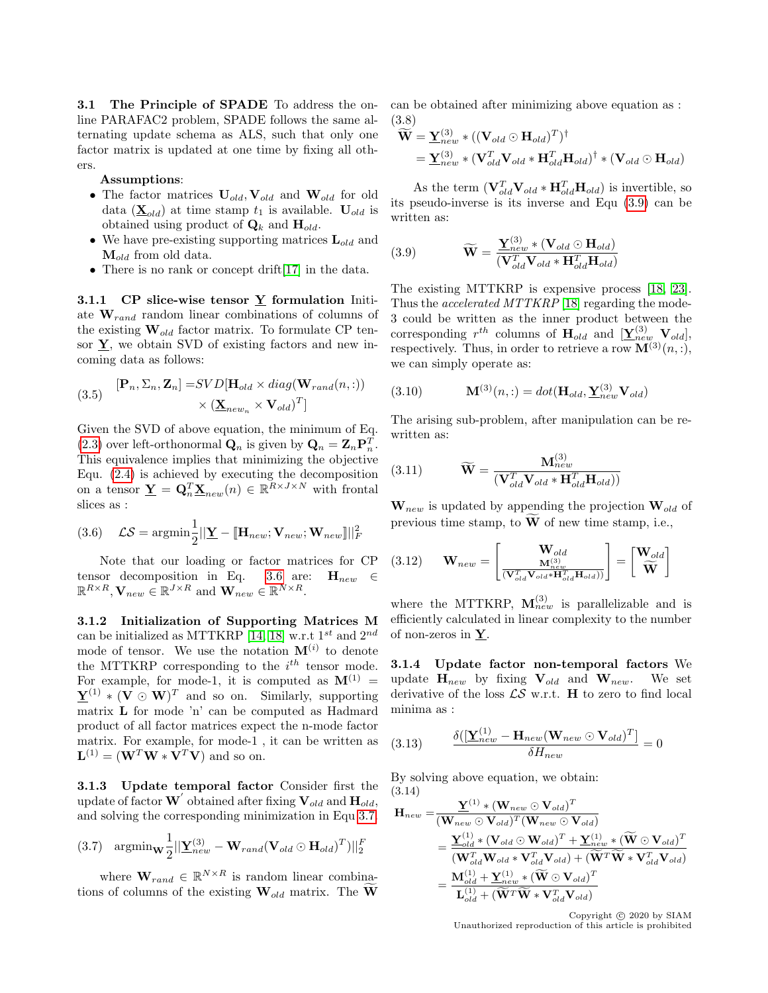3.1 The Principle of SPADE To address the online PARAFAC2 problem, SPADE follows the same alternating update schema as ALS, such that only one factor matrix is updated at one time by fixing all others.

Assumptions:

- The factor matrices  $U_{old}$ ,  $V_{old}$  and  $W_{old}$  for old data  $(\underline{\mathbf{X}}_{old})$  at time stamp  $t_1$  is available.  $\mathbf{U}_{old}$  is obtained using product of  $\mathbf{Q}_k$  and  $\mathbf{H}_{old}$ .
- We have pre-existing supporting matrices  $\mathbf{L}_{old}$  and  $\mathbf{M}_{old}$  from old data.
- There is no rank or concept drift [\[17\]](#page-8-20) in the data.

3.1.1 CP slice-wise tensor  $Y$  formulation Initiate  $\mathbf{W}_{rand}$  random linear combinations of columns of the existing  $\mathbf{W}_{old}$  factor matrix. To formulate CP tensor  $\underline{Y}$ , we obtain SVD of existing factors and new incoming data as follows:

(3.5) 
$$
[\mathbf{P}_n, \Sigma_n, \mathbf{Z}_n] = SVD[\mathbf{H}_{old} \times diag(\mathbf{W}_{rand}(n,:)) \times (\underline{\mathbf{X}}_{new_n} \times \mathbf{V}_{old})^T]
$$

Given the SVD of above equation, the minimum of Eq. [\(2.3\)](#page-2-2) over left-orthonormal  $\mathbf{Q}_n$  is given by  $\mathbf{Q}_n = \mathbf{Z}_n \mathbf{P}_n^T$ . This equivalence implies that minimizing the objective Equ. [\(2.4\)](#page-2-3) is achieved by executing the decomposition on a tensor  $\underline{\mathbf{Y}} = \mathbf{Q}_n^T \underline{\mathbf{X}}_{new}(n) \in \mathbb{R}^{\overline{R} \times J \times N}$  with frontal slices as :

<span id="page-3-0"></span>(3.6) 
$$
\mathcal{LS} = \operatorname{argmin}_{\mathbf{2}} \frac{1}{2} ||\mathbf{\underline{Y}} - [\mathbf{H}_{new}; \mathbf{V}_{new}; \mathbf{W}_{new}]]||_F^2
$$

Note that our loading or factor matrices for CP tensor decomposition in Eq. [3.6](#page-3-0) are:  $H_{new} \in$  $\mathbb{R}^{R\times R}$ ,  $\mathbf{V}_{new} \in \mathbb{R}^{J\times R}$  and  $\mathbf{W}_{new} \in \mathbb{R}^{N\times R}$ .

3.1.2 Initialization of Supporting Matrices M can be initialized as MTTKRP [\[14,](#page-8-0) [18\]](#page-8-13) w.r.t  $1^{st}$  and  $2^{nd}$ mode of tensor. We use the notation  $\mathbf{M}^{(i)}$  to denote the MTTKRP corresponding to the  $i^{th}$  tensor mode. For example, for mode-1, it is computed as  $M^{(1)}$  =  ${\bf Y}^{(1)} * ({\bf V} \odot {\bf W})^T$  and so on. Similarly, supporting matrix L for mode 'n' can be computed as Hadmard product of all factor matrices expect the n-mode factor matrix. For example, for mode-1 , it can be written as  $\mathbf{L}^{(1)} = (\mathbf{W}^T \mathbf{W} * \mathbf{V}^T \mathbf{V})$  and so on.

3.1.3 Update temporal factor Consider first the update of factor  $\mathbf{W}^{'}$  obtained after fixing  $\mathbf{V}_{old}$  and  $\mathbf{H}_{old}$ , and solving the corresponding minimization in Equ [3.7.](#page-3-1)

<span id="page-3-1"></span>(3.7) 
$$
\mathop{\rm argmin}_{\mathbf{W}} \frac{1}{2} \left| \left[ \mathbf{\underline{Y}}_{new}^{(3)} - \mathbf{W}_{rand} (\mathbf{V}_{old} \odot \mathbf{H}_{old})^T) \right] \right|_2^F
$$

where  $\mathbf{W}_{rand} \in \mathbb{R}^{N \times R}$  is random linear combinations of columns of the existing  $\mathbf{W}_{old}$  matrix. The  $\mathbf{\bar{W}}$ 

can be obtained after minimizing above equation as : (3.8)

$$
\widetilde{\mathbf{W}} = \underline{\mathbf{Y}}_{new}^{(3)} * ((\mathbf{V}_{old} \odot \mathbf{H}_{old})^T)^{\dagger}
$$
\n
$$
= \underline{\mathbf{Y}}_{new}^{(3)} * (\mathbf{V}_{old}^T \mathbf{V}_{old} * \mathbf{H}_{old}^T \mathbf{H}_{old})^{\dagger} * (\mathbf{V}_{old} \odot \mathbf{H}_{old})^T
$$

As the term  $(\mathbf{V}_{old}^T \mathbf{V}_{old} * \mathbf{H}_{old}^T \mathbf{H}_{old})$  is invertible, so its pseudo-inverse is its inverse and Equ [\(3.9\)](#page-3-2) can be written as:

<span id="page-3-2"></span>(3.9) 
$$
\widetilde{\mathbf{W}} = \frac{\underline{\mathbf{Y}}_{new}^{(3)} * (\mathbf{V}_{old} \odot \mathbf{H}_{old})}{(\mathbf{V}_{old}^{T} \mathbf{V}_{old} * \mathbf{H}_{old}^{T} \mathbf{H}_{old})}
$$

The existing MTTKRP is expensive process [\[18,](#page-8-13) [23\]](#page-8-21). Thus the *accelerated MTTKRP* [\[18\]](#page-8-13) regarding the mode-3 could be written as the inner product between the corresponding  $r^{th}$  columns of  $\mathbf{H}_{old}$  and  $[\underline{\mathbf{Y}}_{new}^{(3)}, \mathbf{V}_{old}]$ , respectively. Thus, in order to retrieve a row  $\mathbf{M}^{(3)}(n, \cdot),$ we can simply operate as:

(3.10) 
$$
\mathbf{M}^{(3)}(n,:) = dot(\mathbf{H}_{old}, \mathbf{\underline{Y}}_{new}^{(3)} \mathbf{V}_{old})
$$

The arising sub-problem, after manipulation can be rewritten as:

(3.11) 
$$
\widetilde{\mathbf{W}} = \frac{\mathbf{M}_{new}^{(3)}}{(\mathbf{V}_{old}^T \mathbf{V}_{old} * \mathbf{H}_{old}^T \mathbf{H}_{old}))}
$$

 $\mathbf{W}_{new}$  is updated by appending the projection  $\mathbf{W}_{old}$  of previous time stamp, to  $\bf{W}$  of new time stamp, i.e.,

$$
(3.12) \qquad \mathbf{W}_{new} = \begin{bmatrix} \mathbf{W}_{old} \\ \frac{\mathbf{M}_{new}^{(3)}}{(\mathbf{V}_{old}^T \mathbf{V}_{old} \ast \mathbf{H}_{old}^T \mathbf{H}_{old}))} \end{bmatrix} = \begin{bmatrix} \mathbf{W}_{old} \\ \widetilde{\mathbf{W}} \end{bmatrix}
$$

where the MTTKRP,  $\mathbf{M}_{new}^{(3)}$  is parallelizable and is efficiently calculated in linear complexity to the number of non-zeros in  $\underline{Y}$ .

3.1.4 Update factor non-temporal factors We update  $H_{new}$  by fixing  $V_{old}$  and  $W_{new}$ . We set derivative of the loss  $\mathcal{LS}$  w.r.t. **H** to zero to find local minima as :

(3.13) 
$$
\frac{\delta([\mathbf{Y}_{new}^{(1)} - \mathbf{H}_{new}(\mathbf{W}_{new} \odot \mathbf{V}_{old})^T]}{\delta H_{new}} = 0
$$

By solving above equation, we obtain: (3.14)

$$
\mathbf{H}_{new} = \frac{\mathbf{Y}^{(1)} * (\mathbf{W}_{new} \odot \mathbf{V}_{old})^T}{(\mathbf{W}_{new} \odot \mathbf{V}_{old})^T (\mathbf{W}_{new} \odot \mathbf{V}_{old})} \n= \frac{\mathbf{Y}_{old}^{(1)} * (\mathbf{V}_{old} \odot \mathbf{W}_{old})^T + \mathbf{Y}_{new}^{(1)} * (\widetilde{\mathbf{W}} \odot \mathbf{V}_{old})^T}{(\mathbf{W}_{old}^T \mathbf{W}_{old} * \mathbf{V}_{old}^T) + (\widetilde{\mathbf{W}}^T \widetilde{\mathbf{W}} * \mathbf{V}_{old}^T) \mathbf{V}_{old})} \n= \frac{\mathbf{M}_{old}^{(1)} + \mathbf{Y}_{new}^{(1)} * (\widetilde{\mathbf{W}} \odot \mathbf{V}_{old})^T}{\mathbf{L}_{old}^{(1)} + (\widetilde{\mathbf{W}}^T \widetilde{\mathbf{W}} * \mathbf{V}_{old}^T) \mathbf{V}_{old}}.
$$

Copyright  $\copyright$  2020 by SIAM Unauthorized reproduction of this article is prohibited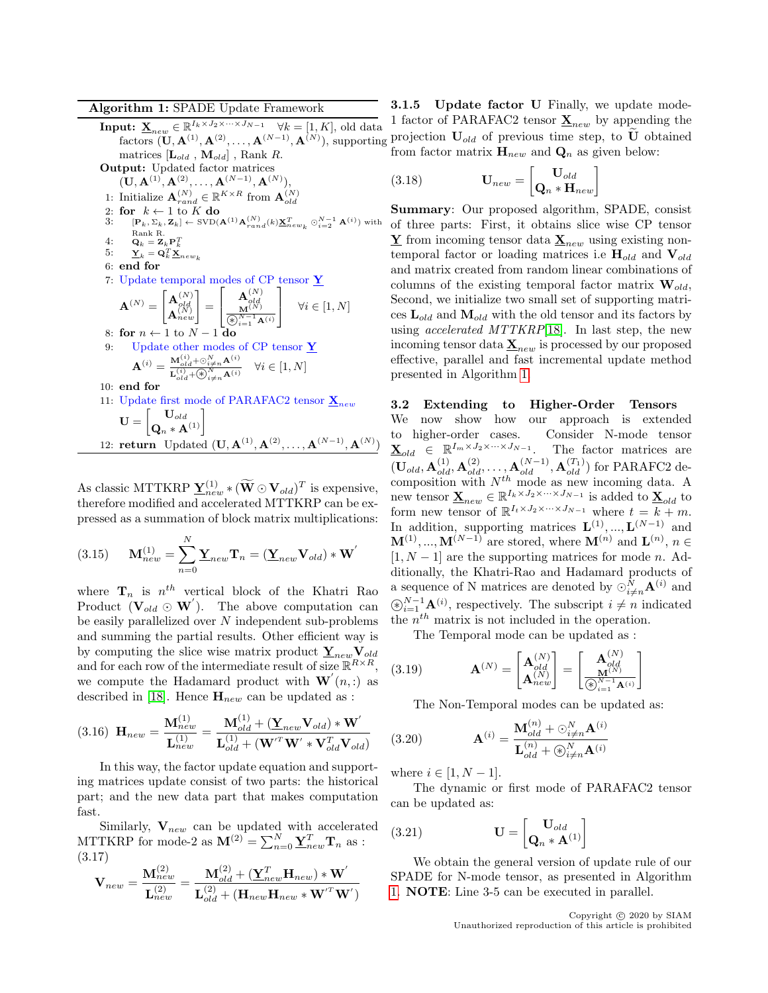Algorithm 1: SPADE Update Framework

**Input:**  $\underline{\mathbf{X}}_{new} \in \mathbb{R}^{I_k \times J_2 \times \cdots \times J_{N-1}}$   $\forall k = [1, K]$ , old data matrices  $[\mathbf{L}_{old}$ ,  $\mathbf{M}_{old}]$ , Rank R. Output: Updated factor matrices

 $({\bf U},{\bf A}^{(1)},{\bf A}^{(2)},\ldots,{\bf A}^{(N-1)},{\bf A}^{(N)}),$ 1: Initialize  $\mathbf{A}_{rand}^{(N)} \in \mathbb{R}^{K \times R}$  from  $\mathbf{A}_{old}^{(N)}$ 2: for  $k \leftarrow 1$  to  $K$  do<br>3: [P,  $\Sigma_i$ ,  $\mathbf{Z}_i$ ]  $\leftarrow$   $\text{SVD}(k)$ 3:  $[\mathbf{P}_k, \Sigma_k, \mathbf{Z}_k] \leftarrow \text{SVD}(\mathbf{A}^{(1)} \mathbf{A}_{rand}^{(N)}(k) \underline{\mathbf{X}}_{new_k}^T \odot_{i=2}^{N-1} \mathbf{A}^{(i)})$  with 4: Rank R.<br>  $\mathbf{Q}_k = \mathbf{Z}_k \mathbf{P}_k^T$ 5:  $\mathbf{Y}_k = \mathbf{Q}_k^T \mathbf{X}_{new_k}$ 6: end for 7: Update temporal modes of CP tensor  $\underline{\mathbf{Y}}$  $\mathbf{A}^{(N)} = \begin{bmatrix} \mathbf{A}_{old}^{(N)} \ \mathbf{A}_{new}^{(N)} \end{bmatrix} =$  $\lceil$  $\overline{1}$  $\mathbf{A}_{old}^{(N)}\ \mathbf{M}^{(N)}$  $\overline{\circledast_{i=1}^{N-1} \mathtt{A}^{(i)}}$ 1  $\forall i \in [1, N]$ 8: for  $n \leftarrow 1$  to  $N - 1$  do 9: Update other modes of CP tensor Y  $\mathbf{A}^{(i)} = \frac{\mathbf{M}_{old}^{(i)} + \odot_{i \neq n}^{N} \mathbf{A}^{(i)}}{\sigma_{1}^{(i)} + \odot_{i \neq n}^{N} \mathbf{A}^{(i)}}$  $\frac{W_{old} + \bigcirc_{i \neq n} A}{\prod_{ol}^{(i)} + \bigcirc \bigcirc_{i \neq n}^{N} A^{(i)}} \quad \forall i \in [1, N]$ 10: end for 11: Update first mode of PARAFAC2 tensor  $\underline{\mathbf{X}}_{new}$  $\mathbf{U} = \begin{bmatrix} \mathbf{U}_{old} \ \mathbf{Q}_n * \mathbf{A}^{(1)} \end{bmatrix}$ 12: **return** Updated  $(U, A^{(1)}, A^{(2)}, \ldots, A^{(N-1)}, A^{(N)})$ 

<span id="page-4-0"></span>As classic MTTKRP  $\underline{\mathbf{Y}}_{new}^{(1)}$   $*(\widetilde{\mathbf{W}} \odot \mathbf{V}_{old})^T$  is expensive, therefore modified and accelerated MTTKRP can be expressed as a summation of block matrix multiplications:

(3.15) 
$$
\mathbf{M}_{new}^{(1)} = \sum_{n=0}^{N} \mathbf{Y}_{new} \mathbf{T}_n = (\mathbf{Y}_{new} \mathbf{V}_{old}) * \mathbf{W}'
$$

where  $\mathbf{T}_n$  is  $n^{th}$  vertical block of the Khatri Rao Product  $(\mathbf{V}_{old} \odot \mathbf{W}')$ . The above computation can be easily parallelized over N independent sub-problems and summing the partial results. Other efficient way is by computing the slice wise matrix product  $Y_{new}V_{old}$ and for each row of the intermediate result of size  $\mathbb{R}^{R \times R}$ , we compute the Hadamard product with  $\mathbf{W}^{'}(n,.)$  as described in [\[18\]](#page-8-13). Hence  $\mathbf{H}_{new}$  can be updated as :

(3.16) 
$$
\mathbf{H}_{new} = \frac{\mathbf{M}_{new}^{(1)}}{\mathbf{L}_{new}^{(1)}} = \frac{\mathbf{M}_{old}^{(1)} + (\mathbf{Y}_{new}\mathbf{V}_{old}) * \mathbf{W}'}{\mathbf{L}_{old}^{(1)} + (\mathbf{W'}^{T}\mathbf{W'} * \mathbf{V}_{old}^{T}\mathbf{V}_{old})}
$$

In this way, the factor update equation and supporting matrices update consist of two parts: the historical part; and the new data part that makes computation fast.

Similarly,  $V_{new}$  can be updated with accelerated MTTKRP for mode-2 as  $\mathbf{M}^{(2)} = \sum_{n=0}^{N} \underline{\mathbf{Y}}_{new}^{T} \mathbf{T}_{n}$  as : (3.17)

$$
\mathbf{V}_{new} = \frac{\mathbf{M}_{new}^{(2)}}{\mathbf{L}_{new}^{(2)}} = \frac{\mathbf{M}_{old}^{(2)} + (\mathbf{\underline{Y}}_{new}^T\mathbf{H}_{new})*\mathbf{W}'}{\mathbf{L}_{old}^{(2)} + (\mathbf{H}_{new}\mathbf{H}_{new}*{\mathbf{W}'}^T\mathbf{W}')}
$$

factors  $(\mathbf{U}, \mathbf{A}^{(1)}, \mathbf{A}^{(2)}, \ldots, \mathbf{A}^{(N-1)}, \mathbf{A}^{(N)})$ , supporting projection  $\mathbf{U}_{old}$  of previous time step, to  $\mathbf{U}$  obtained **3.1.5** Update factor U Finally, we update mode-1 factor of PARAFAC2 tensor  $\underline{\mathbf{X}}_{new}$  by appending the from factor matrix  $H_{new}$  and  $Q_n$  as given below:

(3.18) 
$$
\mathbf{U}_{new} = \begin{bmatrix} \mathbf{U}_{old} \\ \mathbf{Q}_n * \mathbf{H}_{new} \end{bmatrix}
$$

Summary: Our proposed algorithm, SPADE, consist of three parts: First, it obtains slice wise CP tensor  $\underline{Y}$  from incoming tensor data  $\underline{X}_{new}$  using existing nontemporal factor or loading matrices i.e  $H_{old}$  and  $V_{old}$ and matrix created from random linear combinations of columns of the existing temporal factor matrix  $\mathbf{W}_{old}$ , Second, we initialize two small set of supporting matrices  $\mathbf{L}_{old}$  and  $\mathbf{M}_{old}$  with the old tensor and its factors by using *accelerated MTTKRP*[\[18\]](#page-8-13). In last step, the new incoming tensor data  $\underline{\mathbf{X}}_{new}$  is processed by our proposed effective, parallel and fast incremental update method presented in Algorithm [1.](#page-4-0)

3.2 Extending to Higher-Order Tensors We now show how our approach is extended to higher-order cases. Consider N-mode tensor  $\underline{\mathbf{X}}_{old} \in \mathbb{R}^{I_m \times J_2 \times \cdots \times J_{N-1}}$ . The factor matrices are  $(\mathbf{U}_{old}, \mathbf{A}_{old}^{(1)}, \mathbf{A}_{old}^{(2)}, \ldots, \mathbf{A}_{old}^{(N-1)}, \mathbf{A}_{old}^{(T_1)})$  for PARAFC2 decomposition with  $N^{th}$  mode as new incoming data. A new tensor  $\underline{\mathbf{X}}_{new} \in \mathbb{R}^{I_k \times J_2 \times \cdots \times J_{N-1}}$  is added to  $\underline{\mathbf{X}}_{old}$  to form new tensor of  $\mathbb{R}^{I_t \times J_2 \times \cdots \times J_{N-1}}$  where  $t = k + m$ . In addition, supporting matrices  $\mathbf{L}^{(1)},...,\mathbf{L}^{(N-1)}$  and  $\mathbf{M}^{(1)}, ..., \mathbf{M}^{(N-1)}$  are stored, where  $\mathbf{M}^{(n)}$  and  $\mathbf{L}^{(n)}$ ,  $n \in$  $[1, N - 1]$  are the supporting matrices for mode *n*. Additionally, the Khatri-Rao and Hadamard products of a sequence of N matrices are denoted by  $\odot_{i \neq n}^{N} \mathbf{A}^{(i)}$  and  $\bigcirc_{i=1}^{N-1} \mathbf{A}^{(i)}$ , respectively. The subscript  $i \neq n$  indicated the  $n^{th}$  matrix is not included in the operation.

The Temporal mode can be updated as :

(3.19) 
$$
\mathbf{A}^{(N)} = \begin{bmatrix} \mathbf{A}_{old}^{(N)} \\ \mathbf{A}_{new}^{(N)} \end{bmatrix} = \begin{bmatrix} \mathbf{A}_{old}^{(N)} \\ \frac{\mathbf{M}^{(N)}}{\mathbf{A}_{i=1}^{N-1} \mathbf{A}^{(i)}} \end{bmatrix}
$$

The Non-Temporal modes can be updated as:

(3.20) 
$$
\mathbf{A}^{(i)} = \frac{\mathbf{M}_{old}^{(n)} + \odot_{i \neq n}^{N} \mathbf{A}^{(i)}}{\mathbf{L}_{old}^{(n)} + \odot_{i \neq n}^{N} \mathbf{A}^{(i)}}
$$

where  $i \in [1, N-1]$ .

The dynamic or first mode of PARAFAC2 tensor can be updated as:

(3.21) 
$$
\mathbf{U} = \begin{bmatrix} \mathbf{U}_{old} \\ \mathbf{Q}_n * \mathbf{A}^{(1)} \end{bmatrix}
$$

We obtain the general version of update rule of our SPADE for N-mode tensor, as presented in Algorithm [1.](#page-4-0) NOTE: Line 3-5 can be executed in parallel.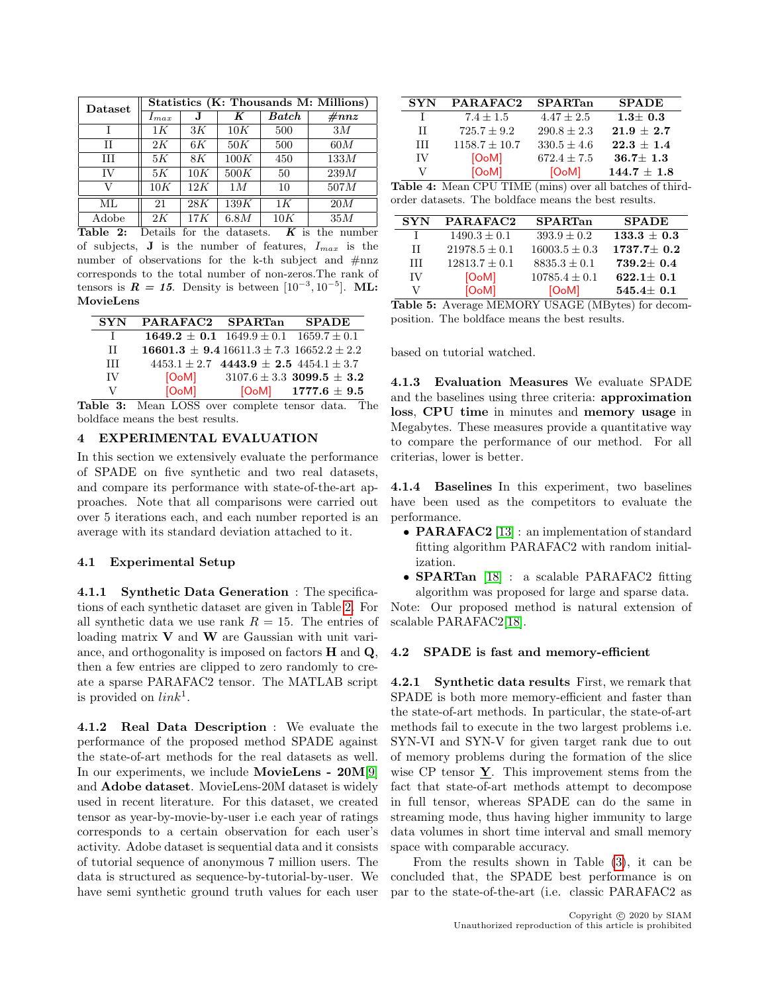<span id="page-5-3"></span>

| Dataset | Statistics (K: Thousands M: Millions) |     |      |       |          |
|---------|---------------------------------------|-----|------|-------|----------|
|         | $_{1max}$                             | J.  | K    | Batch | #nnz     |
|         | 1K                                    | 3K  | 10K  | 500   | 3M       |
| Н       | 2K                                    | 6K  | 50K  | 500   | 60M      |
| HН      | 5K                                    | 8K  | 100K | 450   | $133M\,$ |
| IV      | 5K                                    | 10K | 500K | 50    | $239M\,$ |
| V       | 10K                                   | 12K | 1M   | 10    | 507M     |
| ML      | 21                                    | 28K | 139K | 1K    | 20M      |
| Adobe   | 2K                                    | 17K | 6.8M | 10K   | 35M      |

Table 2: Details for the datasets.  $\overline{K}$  is the number of subjects, **J** is the number of features,  $I_{max}$  is the number of observations for the k-th subject and #nnz corresponds to the total number of non-zeros.The rank of tensors is  $R = 15$ . Density is between  $[10^{-3}, 10^{-5}]$ . ML: MovieLens

<span id="page-5-0"></span>

| <b>SYN</b> | PARAFAC2 SPARTan                                   |                                                    | <b>SPADE</b>                      |
|------------|----------------------------------------------------|----------------------------------------------------|-----------------------------------|
| L          | $1649.2 \pm 0.1$ $1649.9 \pm 0.1$ $1659.7 \pm 0.1$ |                                                    |                                   |
| H          | $16601.3 \pm 9.416611.3 \pm 7.316652.2 \pm 2.2$    |                                                    |                                   |
| Ш          |                                                    | $4453.1 \pm 2.7$ $4443.9 \pm 2.5$ $4454.1 \pm 3.7$ |                                   |
| ΙV         | [OoM]                                              |                                                    | $3107.6 \pm 3.3$ 3099.5 $\pm$ 3.2 |
| V          | [OoM]                                              |                                                    | $[O0M]$ 1777.6 $\pm$ 9.5          |

Table 3: Mean LOSS over complete tensor data. The boldface means the best results.

# 4 EXPERIMENTAL EVALUATION

In this section we extensively evaluate the performance of SPADE on five synthetic and two real datasets, and compare its performance with state-of-the-art approaches. Note that all comparisons were carried out over 5 iterations each, and each number reported is an average with its standard deviation attached to it.

#### 4.1 Experimental Setup

4.1.1 Synthetic Data Generation : The specifications of each synthetic dataset are given in Table [2.](#page-5-3) For all synthetic data we use rank  $R = 15$ . The entries of loading matrix  $V$  and  $W$  are Gaussian with unit variance, and orthogonality is imposed on factors H and Q, then a few entries are clipped to zero randomly to create a sparse PARAFAC2 tensor. The MATLAB script is provided on  $link<sup>1</sup>$ .

4.1.2 Real Data Description : We evaluate the performance of the proposed method SPADE against the state-of-art methods for the real datasets as well. In our experiments, we include MovieLens - 20M[\[9\]](#page-8-22) and Adobe dataset. MovieLens-20M dataset is widely used in recent literature. For this dataset, we created tensor as year-by-movie-by-user i.e each year of ratings corresponds to a certain observation for each user's activity. Adobe dataset is sequential data and it consists of tutorial sequence of anonymous 7 million users. The data is structured as sequence-by-tutorial-by-user. We have semi synthetic ground truth values for each user

<span id="page-5-1"></span>

| <b>SYN</b> | PARAFAC2           | SPARTan         | <b>SPADE</b>    |
|------------|--------------------|-----------------|-----------------|
|            | $7.4 + 1.5$        | $4.47 \pm 2.5$  | $1.3 + 0.3$     |
| H          | $725.7 + 9.2$      | $290.8 \pm 2.3$ | $21.9 \pm 2.7$  |
| HН         | $1158.7 \pm 10.7$  | $330.5 \pm 4.6$ | $22.3 + 1.4$    |
| IV         | [O <sub>o</sub> M] | $672.4 + 7.5$   | $36.7 \pm 1.3$  |
|            | [O <sub>o</sub> M] | [OoM]           | $144.7 \pm 1.8$ |

Table 4: Mean CPU TIME (mins) over all batches of thirdorder datasets. The boldface means the best results.

<span id="page-5-2"></span>

| <b>SYN</b> | PARAFAC2           | <b>SPARTan</b>     | <b>SPADE</b>    |
|------------|--------------------|--------------------|-----------------|
| J.         | $1490.3 + 0.1$     | $393.9 \pm 0.2$    | $133.3 + 0.3$   |
| П          | $21978.5 \pm 0.1$  | $16003.5 \pm 0.3$  | $1737.7 + 0.2$  |
| ĦТ         | $12813.7 + 0.1$    | $8835.3 + 0.1$     | $739.2 \pm 0.4$ |
| ΙV         | [O <sub>o</sub> M] | $10785.4 \pm 0.1$  | $622.1 + 0.1$   |
| V          | [O <sub>o</sub> M] | [O <sub>o</sub> M] | $545.4 \pm 0.1$ |

Table 5: Average MEMORY USAGE (MBytes) for decomposition. The boldface means the best results.

based on tutorial watched.

4.1.3 Evaluation Measures We evaluate SPADE and the baselines using three criteria: approximation loss, CPU time in minutes and memory usage in Megabytes. These measures provide a quantitative way to compare the performance of our method. For all criterias, lower is better.

4.1.4 Baselines In this experiment, two baselines have been used as the competitors to evaluate the performance.

- **PARAFAC2** [\[13\]](#page-8-16) : an implementation of standard fitting algorithm PARAFAC2 with random initialization.
- **SPARTan** [\[18\]](#page-8-13) : a scalable PARAFAC2 fitting algorithm was proposed for large and sparse data.

Note: Our proposed method is natural extension of scalable PARAFAC2[\[18\]](#page-8-13).

#### 4.2 SPADE is fast and memory-efficient

4.2.1 Synthetic data results First, we remark that SPADE is both more memory-efficient and faster than the state-of-art methods. In particular, the state-of-art methods fail to execute in the two largest problems i.e. SYN-VI and SYN-V for given target rank due to out of memory problems during the formation of the slice wise CP tensor  $\underline{Y}$ . This improvement stems from the fact that state-of-art methods attempt to decompose in full tensor, whereas SPADE can do the same in streaming mode, thus having higher immunity to large data volumes in short time interval and small memory space with comparable accuracy.

From the results shown in Table [\(3\)](#page-5-0), it can be concluded that, the SPADE best performance is on par to the state-of-the-art (i.e. classic PARAFAC2 as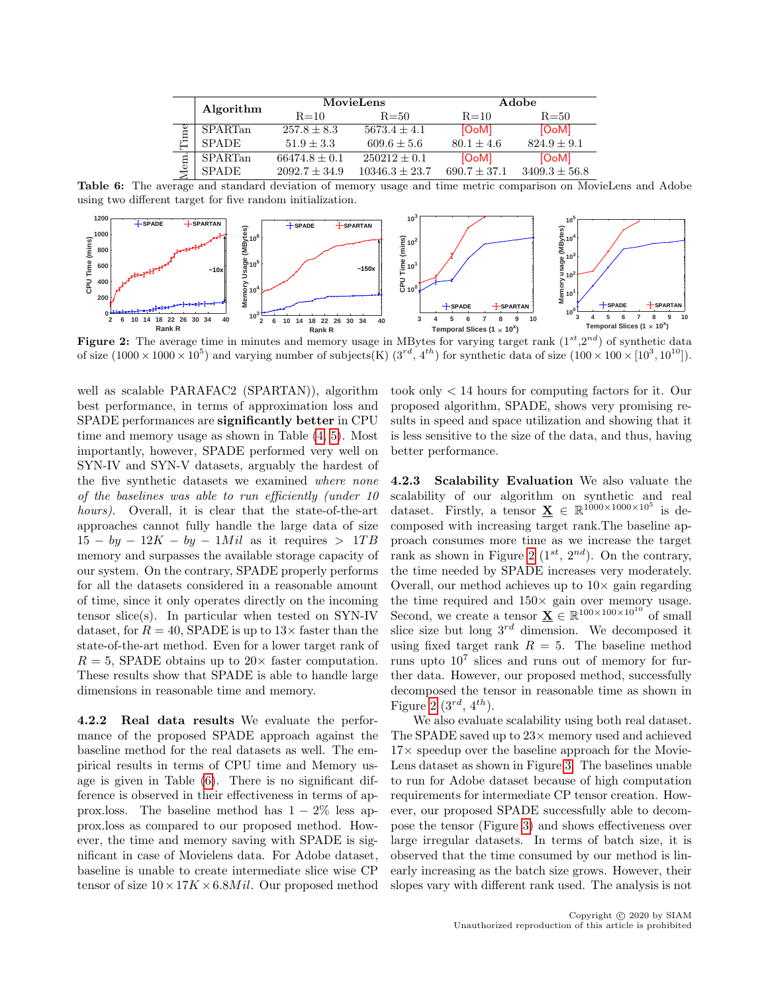<span id="page-6-1"></span>

|     | Algorithm    | MovieLens         |                    | Adobe            |                   |
|-----|--------------|-------------------|--------------------|------------------|-------------------|
|     |              | $R = 10$          | $R = 50$           | $R=10$           | $R = 50$          |
| ime | SPARTan      | $257.8 \pm 8.3$   | $5673.4 \pm 4.1$   | [OoM]            | [OoM]             |
|     | <b>SPADE</b> | $51.9 + 3.3$      | $609.6 \pm 5.6$    | $80.1 + 4.6$     | $824.9 \pm 9.1$   |
| em  | SPARTan      | $66474.8 \pm 0.1$ | $250212 \pm 0.1$   | [OoM]            | [OoM]             |
|     | <b>SPADE</b> | $2092.7 \pm 34.9$ | $10346.3 \pm 23.7$ | $690.7 \pm 37.1$ | $3409.3 \pm 56.8$ |

Table 6: The average and standard deviation of memory usage and time metric comparison on MovieLens and Adobe using two different target for five random initialization.

<span id="page-6-0"></span>

Figure 2: The average time in minutes and memory usage in MBytes for varying target rank  $(1^{st},2^{nd})$  of synthetic data of size  $(1000 \times 1000 \times 10^5)$  and varying number of subjects(K)  $(3^{rd}, 4^{th})$  for synthetic data of size  $(100 \times 100 \times 10^3, 10^{10})$ .

well as scalable PARAFAC2 (SPARTAN)), algorithm best performance, in terms of approximation loss and SPADE performances are significantly better in CPU time and memory usage as shown in Table [\(4,](#page-5-1) [5\)](#page-5-2). Most importantly, however, SPADE performed very well on SYN-IV and SYN-V datasets, arguably the hardest of the five synthetic datasets we examined where none of the baselines was able to run efficiently (under 10 hours). Overall, it is clear that the state-of-the-art approaches cannot fully handle the large data of size  $15 - by - 12K - by - 1Mil$  as it requires > 1TB memory and surpasses the available storage capacity of our system. On the contrary, SPADE properly performs for all the datasets considered in a reasonable amount of time, since it only operates directly on the incoming tensor slice(s). In particular when tested on SYN-IV dataset, for  $R = 40$ , SPADE is up to  $13 \times$  faster than the state-of-the-art method. Even for a lower target rank of  $R = 5$ , SPADE obtains up to  $20 \times$  faster computation. These results show that SPADE is able to handle large dimensions in reasonable time and memory.

4.2.2 Real data results We evaluate the performance of the proposed SPADE approach against the baseline method for the real datasets as well. The empirical results in terms of CPU time and Memory usage is given in Table [\(6\)](#page-6-1). There is no significant difference is observed in their effectiveness in terms of approx.loss. The baseline method has  $1 - 2\%$  less approx.loss as compared to our proposed method. However, the time and memory saving with SPADE is significant in case of Movielens data. For Adobe dataset, baseline is unable to create intermediate slice wise CP tensor of size  $10 \times 17K \times 6.8$  *Mil.* Our proposed method

took only < 14 hours for computing factors for it. Our proposed algorithm, SPADE, shows very promising results in speed and space utilization and showing that it is less sensitive to the size of the data, and thus, having better performance.

4.2.3 Scalability Evaluation We also valuate the scalability of our algorithm on synthetic and real dataset. Firstly, a tensor  $\underline{\mathbf{X}} \in \mathbb{R}^{1000 \times 1000 \times 10^5}$  is decomposed with increasing target rank.The baseline approach consumes more time as we increase the target rank as shown in Figure [2](#page-6-0)  $(1^{st}, 2^{nd})$ . On the contrary, the time needed by SPADE increases very moderately. Overall, our method achieves up to  $10\times$  gain regarding the time required and  $150\times$  gain over memory usage. Second, we create a tensor  $\underline{\mathbf{X}} \in \mathbb{R}^{100 \times 100 \times 10^{10}}$  of small slice size but long  $3^{rd}$  dimension. We decomposed it using fixed target rank  $R = 5$ . The baseline method runs upto  $10^7$  slices and runs out of memory for further data. However, our proposed method, successfully decomposed the tensor in reasonable time as shown in Figure [2](#page-6-0)  $(3^{rd}, 4^{th})$ .

We also evaluate scalability using both real dataset. The SPADE saved up to  $23\times$  memory used and achieved  $17\times$  speedup over the baseline approach for the Movie-Lens dataset as shown in Figure [3.](#page-7-0) The baselines unable to run for Adobe dataset because of high computation requirements for intermediate CP tensor creation. However, our proposed SPADE successfully able to decompose the tensor (Figure [3\)](#page-7-0) and shows effectiveness over large irregular datasets. In terms of batch size, it is observed that the time consumed by our method is linearly increasing as the batch size grows. However, their slopes vary with different rank used. The analysis is not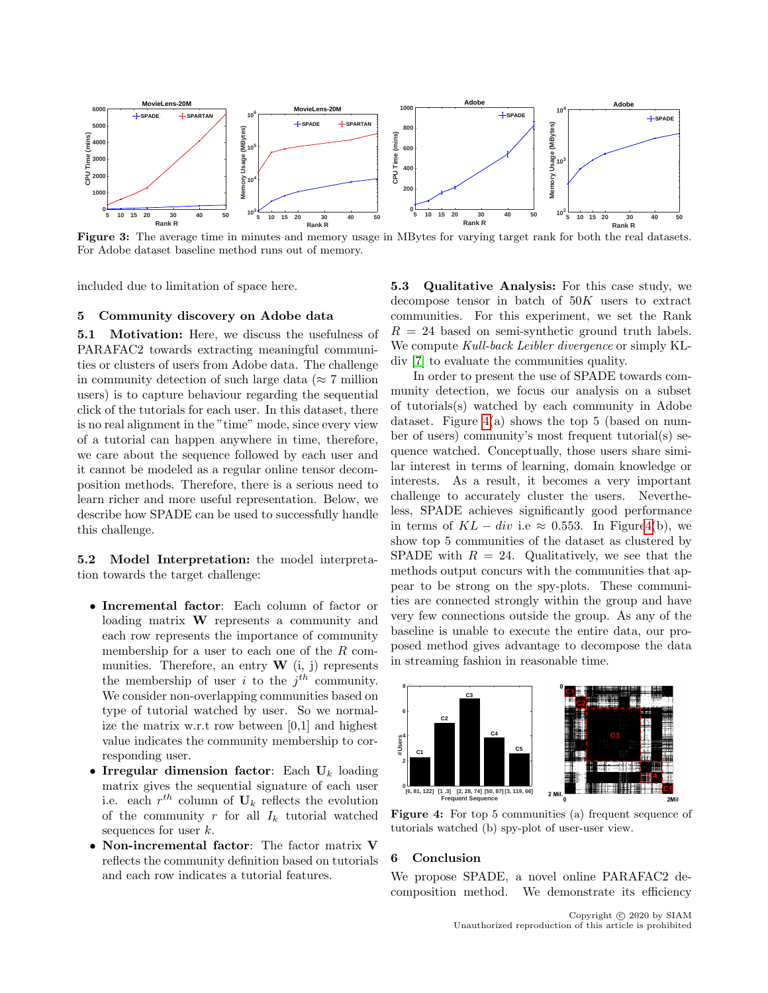<span id="page-7-0"></span>

Figure 3: The average time in minutes and memory usage in MBytes for varying target rank for both the real datasets. For Adobe dataset baseline method runs out of memory.

included due to limitation of space here.

#### 5 Community discovery on Adobe data

5.1 Motivation: Here, we discuss the usefulness of PARAFAC2 towards extracting meaningful communities or clusters of users from Adobe data. The challenge in community detection of such large data ( $\approx 7$  million users) is to capture behaviour regarding the sequential click of the tutorials for each user. In this dataset, there is no real alignment in the "time" mode, since every view of a tutorial can happen anywhere in time, therefore, we care about the sequence followed by each user and it cannot be modeled as a regular online tensor decomposition methods. Therefore, there is a serious need to learn richer and more useful representation. Below, we describe how SPADE can be used to successfully handle this challenge.

5.2 Model Interpretation: the model interpretation towards the target challenge:

- Incremental factor: Each column of factor or loading matrix W represents a community and each row represents the importance of community membership for a user to each one of the R communities. Therefore, an entry  $\bf{W}$  (i, j) represents the membership of user i to the  $j<sup>th</sup>$  community. We consider non-overlapping communities based on type of tutorial watched by user. So we normalize the matrix w.r.t row between [0,1] and highest value indicates the community membership to corresponding user.
- Irregular dimension factor: Each  $U_k$  loading matrix gives the sequential signature of each user i.e. each  $r^{th}$  column of  $\mathbf{U}_k$  reflects the evolution of the community  $r$  for all  $I_k$  tutorial watched sequences for user k.
- Non-incremental factor: The factor matrix V reflects the community definition based on tutorials and each row indicates a tutorial features.

5.3 Qualitative Analysis: For this case study, we decompose tensor in batch of  $50K$  users to extract communities. For this experiment, we set the Rank  $R = 24$  based on semi-synthetic ground truth labels. We compute Kull-back Leibler divergence or simply KLdiv [\[7\]](#page-8-23) to evaluate the communities quality.

In order to present the use of SPADE towards community detection, we focus our analysis on a subset of tutorials(s) watched by each community in Adobe dataset. Figure  $4(a)$  shows the top 5 (based on number of users) community's most frequent tutorial(s) sequence watched. Conceptually, those users share similar interest in terms of learning, domain knowledge or interests. As a result, it becomes a very important challenge to accurately cluster the users. Nevertheless, SPADE achieves significantly good performance in terms of  $KL - div$  i.e ≈ 0.553. In Figur[e4\(](#page-7-1)b), we show top 5 communities of the dataset as clustered by SPADE with  $R = 24$ . Qualitatively, we see that the methods output concurs with the communities that appear to be strong on the spy-plots. These communities are connected strongly within the group and have very few connections outside the group. As any of the baseline is unable to execute the entire data, our proposed method gives advantage to decompose the data in streaming fashion in reasonable time.

<span id="page-7-1"></span>

Figure 4: For top 5 communities (a) frequent sequence of tutorials watched (b) spy-plot of user-user view.

#### 6 Conclusion

We propose SPADE, a novel online PARAFAC2 decomposition method. We demonstrate its efficiency